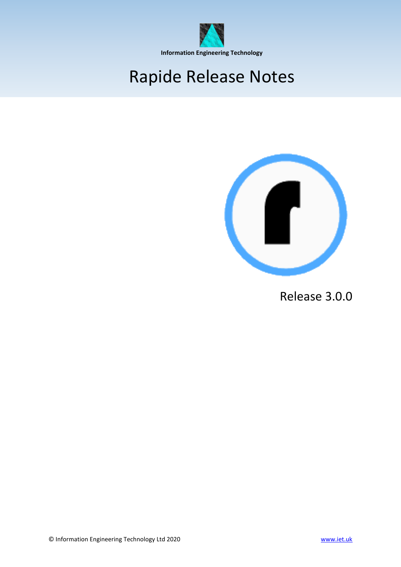

## Rapide Release Notes



Release 3.0.0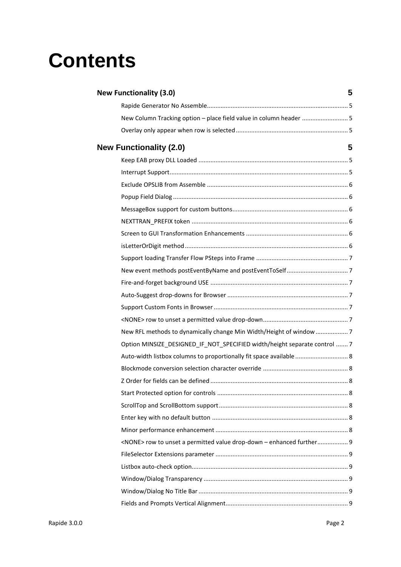# **Contents**

| <b>New Functionality (3.0)</b>                                              | 5 |
|-----------------------------------------------------------------------------|---|
|                                                                             |   |
| New Column Tracking option - place field value in column header  5          |   |
|                                                                             |   |
| <b>New Functionality (2.0)</b>                                              | 5 |
|                                                                             |   |
|                                                                             |   |
|                                                                             |   |
|                                                                             |   |
|                                                                             |   |
|                                                                             |   |
|                                                                             |   |
|                                                                             |   |
|                                                                             |   |
|                                                                             |   |
|                                                                             |   |
|                                                                             |   |
|                                                                             |   |
|                                                                             |   |
| New RFL methods to dynamically change Min Width/Height of window  7         |   |
| Option MINSIZE_DESIGNED_IF_NOT_SPECIFIED width/height separate control  7   |   |
| Auto-width listbox columns to proportionally fit space available  8         |   |
|                                                                             |   |
|                                                                             |   |
|                                                                             |   |
|                                                                             |   |
|                                                                             |   |
|                                                                             |   |
| <none> row to unset a permitted value drop-down - enhanced further 9</none> |   |
|                                                                             |   |
|                                                                             |   |
|                                                                             |   |
|                                                                             |   |
|                                                                             |   |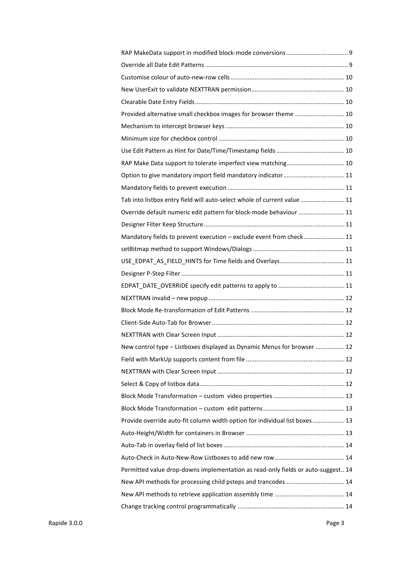| Provided alternative small checkbox images for browser theme  10                 |
|----------------------------------------------------------------------------------|
|                                                                                  |
|                                                                                  |
|                                                                                  |
| RAP Make Data support to tolerate imperfect view matching 10                     |
| Option to give mandatory import field mandatory indicator  11                    |
|                                                                                  |
| Tab into listbox entry field will auto-select whole of current value  11         |
| Override default numeric edit pattern for block-mode behaviour  11               |
|                                                                                  |
| Mandatory fields to prevent execution - exclude event from check 11              |
|                                                                                  |
|                                                                                  |
|                                                                                  |
|                                                                                  |
|                                                                                  |
|                                                                                  |
|                                                                                  |
|                                                                                  |
| New control type - Listboxes displayed as Dynamic Menus for browser  12          |
|                                                                                  |
|                                                                                  |
|                                                                                  |
|                                                                                  |
|                                                                                  |
| Provide override auto-fit column width option for individual list boxes 13       |
|                                                                                  |
|                                                                                  |
|                                                                                  |
| Permitted value drop-downs implementation as read-only fields or auto-suggest 14 |
| New API methods for processing child psteps and trancodes 14                     |
|                                                                                  |
|                                                                                  |
|                                                                                  |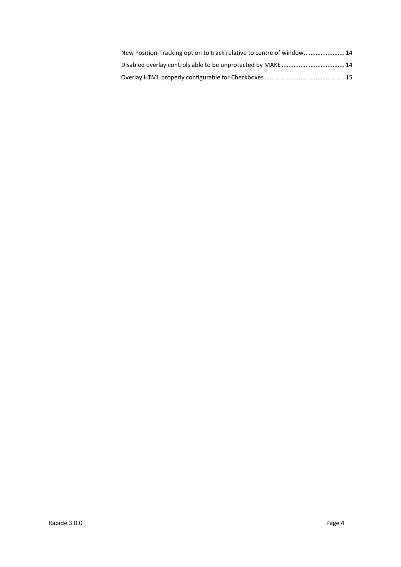| New Position-Tracking option to track relative to centre of window 14 |  |
|-----------------------------------------------------------------------|--|
|                                                                       |  |
|                                                                       |  |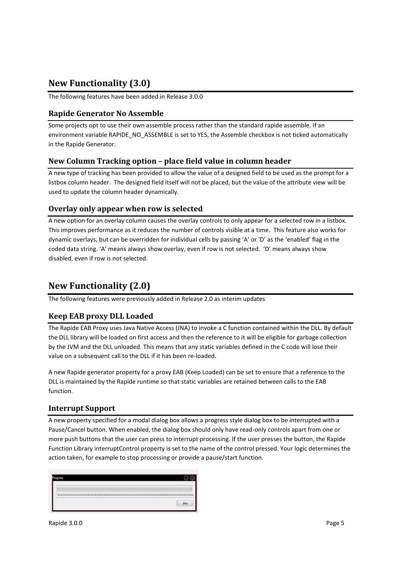## <span id="page-4-0"></span>**New Functionality (3.0)**

The following features have been added in Release 3.0.0

## <span id="page-4-1"></span>**Rapide Generator No Assemble**

Some projects opt to use their own assemble process rather than the standard rapide assemble. If an environment variable RAPIDE\_NO\_ASSEMBLE is set to YES, the Assemble checkbox is not ticked automatically in the Rapide Generator.

## <span id="page-4-2"></span>**New Column Tracking option – place field value in column header**

A new type of tracking has been provided to allow the value of a designed field to be used as the prompt for a listbox column header. The designed field itself will not be placed, but the value of the attribute view will be used to update the column header dynamically.

#### <span id="page-4-3"></span>**Overlay only appear when row is selected**

A new option for an overlay column causes the overlay controls to only appear for a selected row in a listbox. This improves performance as it reduces the number of controls visible at a time. This feature also works for dynamic overlays, but can be overridden for individual cells by passing 'A' or 'D' as the 'enabled' flag in the coded data string. 'A' means always show overlay, even if row is not selected. 'D' means always show disabled, even if row is not selected.

## <span id="page-4-4"></span>**New Functionality (2.0)**

The following features were previously added in Release 2.0 as interim updates

## <span id="page-4-5"></span>**Keep EAB proxy DLL Loaded**

The Rapide EAB Proxy uses Java Native Access (JNA) to invoke a C function contained within the DLL. By default the DLL library will be loaded on first access and then the reference to it will be eligible for garbage collection by the JVM and the DLL unloaded. This means that any static variables defined in the C code will lose their value on a subsequent call to the DLL if it has been re-loaded.

A new Rapide generator property for a proxy EAB (Keep Loaded) can be set to ensure that a reference to the DLL is maintained by the Rapide runtime so that static variables are retained between calls to the EAB function.

## <span id="page-4-6"></span>**Interrupt Support**

A new property specified for a modal dialog box allows a progress style dialog box to be interrupted with a Pause/Cancel button. When enabled, the dialog box should only have read-only controls apart from one or more push buttons that the user can press to interrupt processing. If the user presses the button, the Rapide Function Library interruptControl property is set to the name of the control pressed. Your logic determines the action taken, for example to stop processing or provide a pause/start function.

| ogress |
|--------|
|        |
| Stop   |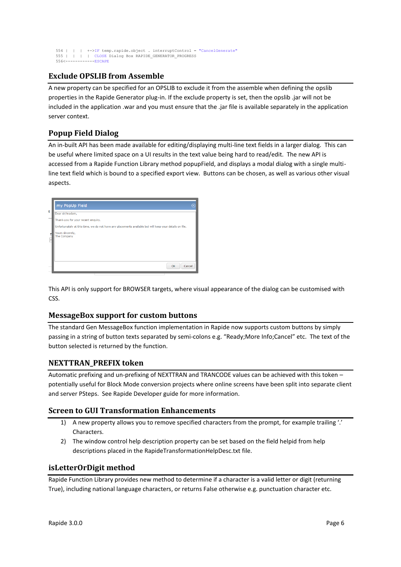```
 554 | | | +->IF temp.rapide.object . interruptControl = "CancelGenerate"
555 | | | | CLOSE Dialog Box RAPIDE_GENERATOR_PROGRESS
    556<------------ESCAPE
```
## <span id="page-5-0"></span>**Exclude OPSLIB from Assemble**

A new property can be specified for an OPSLIB to exclude it from the assemble when defining the opslib properties in the Rapide Generator plug-in. If the exclude property is set, then the opslib .jar will not be included in the application .war and you must ensure that the .jar file is available separately in the application server context.

## <span id="page-5-1"></span>**Popup Field Dialog**

An in-built API has been made available for editing/displaying multi-line text fields in a larger dialog. This can be useful where limited space on a UI results in the text value being hard to read/edit. The new API is accessed from a Rapide Function Library method popupField, and displays a modal dialog with a single multiline text field which is bound to a specified export view. Buttons can be chosen, as well as various other visual aspects.

|   | my PopUp Field                                                                                          |  |
|---|---------------------------------------------------------------------------------------------------------|--|
| ł | Dear sir/madam,                                                                                         |  |
|   | Thank-you for your recent enquiry.                                                                      |  |
|   | Unfortunately at this time, we do not have any placements available but will keep your details on file. |  |
| т | Yours sincerely,<br>The Company                                                                         |  |
|   |                                                                                                         |  |
|   |                                                                                                         |  |
|   |                                                                                                         |  |
|   | OK<br>Cancel                                                                                            |  |

This API is only support for BROWSER targets, where visual appearance of the dialog can be customised with CSS.

## <span id="page-5-2"></span>**MessageBox support for custom buttons**

The standard Gen MessageBox function implementation in Rapide now supports custom buttons by simply passing in a string of button texts separated by semi-colons e.g. "Ready;More Info;Cancel" etc. The text of the button selected is returned by the function.

## <span id="page-5-3"></span>**NEXTTRAN\_PREFIX token**

Automatic prefixing and un-prefixing of NEXTTRAN and TRANCODE values can be achieved with this token – potentially useful for Block Mode conversion projects where online screens have been split into separate client and server PSteps. See Rapide Developer guide for more information.

## <span id="page-5-4"></span>**Screen to GUI Transformation Enhancements**

- 1) A new property allows you to remove specified characters from the prompt, for example trailing '.' Characters.
- 2) The window control help description property can be set based on the field helpid from help descriptions placed in the RapideTransformationHelpDesc.txt file.

## <span id="page-5-5"></span>**isLetterOrDigit method**

Rapide Function Library provides new method to determine if a character is a valid letter or digit (returning True), including national language characters, or returns False otherwise e.g. punctuation character etc.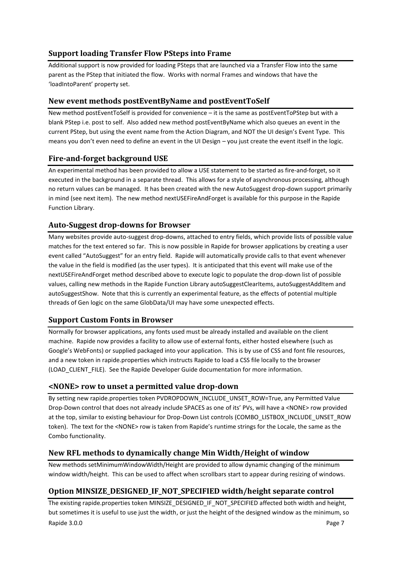## <span id="page-6-0"></span>**Support loading Transfer Flow PSteps into Frame**

Additional support is now provided for loading PSteps that are launched via a Transfer Flow into the same parent as the PStep that initiated the flow. Works with normal Frames and windows that have the 'loadIntoParent' property set.

## <span id="page-6-1"></span>**New event methods postEventByName and postEventToSelf**

New method postEventToSelf is provided for convenience – it is the same as postEventToPStep but with a blank PStep i.e. post to self. Also added new method postEventByName which also queues an event in the current PStep, but using the event name from the Action Diagram, and NOT the UI design's Event Type. This means you don't even need to define an event in the UI Design – you just create the event itself in the logic.

## <span id="page-6-2"></span>**Fire-and-forget background USE**

An experimental method has been provided to allow a USE statement to be started as fire-and-forget, so it executed in the background in a separate thread. This allows for a style of asynchronous processing, although no return values can be managed. It has been created with the new AutoSuggest drop-down support primarily in mind (see next item). The new method nextUSEFireAndForget is available for this purpose in the Rapide Function Library.

## <span id="page-6-3"></span>**Auto-Suggest drop-downs for Browser**

Many websites provide auto-suggest drop-downs, attached to entry fields, which provide lists of possible value matches for the text entered so far. This is now possible in Rapide for browser applications by creating a user event called "AutoSuggest" for an entry field. Rapide will automatically provide calls to that event whenever the value in the field is modified (as the user types). It is anticipated that this event will make use of the nextUSEFireAndForget method described above to execute logic to populate the drop-down list of possible values, calling new methods in the Rapide Function Library autoSuggestClearItems, autoSuggestAddItem and autoSuggestShow. Note that this is currently an experimental feature, as the effects of potential multiple threads of Gen logic on the same GlobData/UI may have some unexpected effects.

## <span id="page-6-4"></span>**Support Custom Fonts in Browser**

Normally for browser applications, any fonts used must be already installed and available on the client machine. Rapide now provides a facility to allow use of external fonts, either hosted elsewhere (such as Google's WebFonts) or supplied packaged into your application. This is by use of CSS and font file resources, and a new token in rapide.properties which instructs Rapide to load a CSS file locally to the browser (LOAD\_CLIENT\_FILE). See the Rapide Developer Guide documentation for more information.

## <span id="page-6-5"></span>**<NONE> row to unset a permitted value drop-down**

By setting new rapide.properties token PVDROPDOWN\_INCLUDE\_UNSET\_ROW=True, any Permitted Value Drop-Down control that does not already include SPACES as one of its' PVs, will have a <NONE> row provided at the top, similar to existing behaviour for Drop-Down List controls (COMBO\_LISTBOX\_INCLUDE\_UNSET\_ROW token). The text for the <NONE> row is taken from Rapide's runtime strings for the Locale, the same as the Combo functionality.

## <span id="page-6-6"></span>**New RFL methods to dynamically change Min Width/Height of window**

New methods setMinimumWindowWidth/Height are provided to allow dynamic changing of the minimum window width/height. This can be used to affect when scrollbars start to appear during resizing of windows.

## <span id="page-6-7"></span>**Option MINSIZE\_DESIGNED\_IF\_NOT\_SPECIFIED width/height separate control**

Rapide 3.0.0 Page 7 The existing rapide.properties token MINSIZE\_DESIGNED\_IF\_NOT\_SPECIFIED affected both width and height, but sometimes it is useful to use just the width, or just the height of the designed window as the minimum, so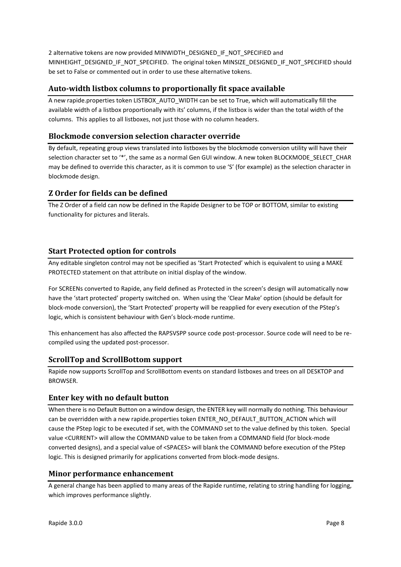2 alternative tokens are now provided MINWIDTH\_DESIGNED\_IF\_NOT\_SPECIFIED and MINHEIGHT\_DESIGNED\_IF\_NOT\_SPECIFIED. The original token MINSIZE\_DESIGNED\_IF\_NOT\_SPECIFIED should be set to False or commented out in order to use these alternative tokens.

## <span id="page-7-0"></span>**Auto-width listbox columns to proportionally fit space available**

A new rapide.properties token LISTBOX\_AUTO\_WIDTH can be set to True, which will automatically fill the available width of a listbox proportionally with its' columns, if the listbox is wider than the total width of the columns. This applies to all listboxes, not just those with no column headers.

## <span id="page-7-1"></span>**Blockmode conversion selection character override**

By default, repeating group views translated into listboxes by the blockmode conversion utility will have their selection character set to '\*', the same as a normal Gen GUI window. A new token BLOCKMODE\_SELECT\_CHAR may be defined to override this character, as it is common to use 'S' (for example) as the selection character in blockmode design.

## <span id="page-7-2"></span>**Z Order for fields can be defined**

The Z Order of a field can now be defined in the Rapide Designer to be TOP or BOTTOM, similar to existing functionality for pictures and literals.

## <span id="page-7-3"></span>**Start Protected option for controls**

Any editable singleton control may not be specified as 'Start Protected' which is equivalent to using a MAKE PROTECTED statement on that attribute on initial display of the window.

For SCREENs converted to Rapide, any field defined as Protected in the screen's design will automatically now have the 'start protected' property switched on. When using the 'Clear Make' option (should be default for block-mode conversion), the 'Start Protected' property will be reapplied for every execution of the PStep's logic, which is consistent behaviour with Gen's block-mode runtime.

This enhancement has also affected the RAPSVSPP source code post-processor. Source code will need to be recompiled using the updated post-processor.

## <span id="page-7-4"></span>**ScrollTop and ScrollBottom support**

Rapide now supports ScrollTop and ScrollBottom events on standard listboxes and trees on all DESKTOP and BROWSER.

#### <span id="page-7-5"></span>**Enter key with no default button**

When there is no Default Button on a window design, the ENTER key will normally do nothing. This behaviour can be overridden with a new rapide.properties token ENTER\_NO\_DEFAULT\_BUTTON\_ACTION which will cause the PStep logic to be executed if set, with the COMMAND set to the value defined by this token. Special value <CURRENT> will allow the COMMAND value to be taken from a COMMAND field (for block-mode converted designs), and a special value of <SPACES> will blank the COMMAND before execution of the PStep logic. This is designed primarily for applications converted from block-mode designs.

#### <span id="page-7-6"></span>**Minor performance enhancement**

A general change has been applied to many areas of the Rapide runtime, relating to string handling for logging, which improves performance slightly.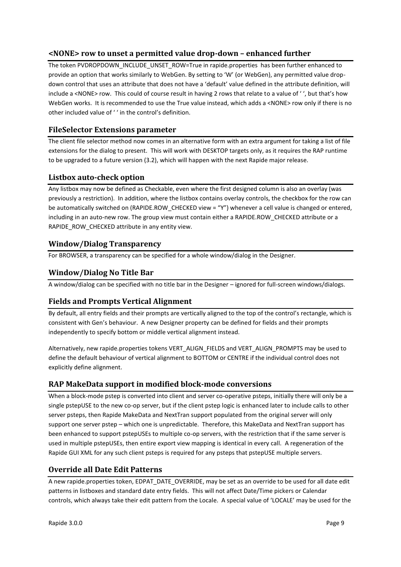## <span id="page-8-0"></span>**<NONE> row to unset a permitted value drop-down – enhanced further**

The token PVDROPDOWN\_INCLUDE\_UNSET\_ROW=True in rapide.properties has been further enhanced to provide an option that works similarly to WebGen. By setting to 'W' (or WebGen), any permitted value dropdown control that uses an attribute that does not have a 'default' value defined in the attribute definition, will include a <NONE> row. This could of course result in having 2 rows that relate to a value of ' ', but that's how WebGen works. It is recommended to use the True value instead, which adds a <NONE> row only if there is no other included value of ' ' in the control's definition.

## <span id="page-8-1"></span>**FileSelector Extensions parameter**

The client file selector method now comes in an alternative form with an extra argument for taking a list of file extensions for the dialog to present. This will work with DESKTOP targets only, as it requires the RAP runtime to be upgraded to a future version (3.2), which will happen with the next Rapide major release.

## <span id="page-8-2"></span>**Listbox auto-check option**

Any listbox may now be defined as Checkable, even where the first designed column is also an overlay (was previously a restriction). In addition, where the listbox contains overlay controls, the checkbox for the row can be automatically switched on (RAPIDE.ROW\_CHECKED view = "Y") whenever a cell value is changed or entered, including in an auto-new row. The group view must contain either a RAPIDE.ROW\_CHECKED attribute or a RAPIDE\_ROW\_CHECKED attribute in any entity view.

## <span id="page-8-3"></span>**Window/Dialog Transparency**

For BROWSER, a transparency can be specified for a whole window/dialog in the Designer.

## <span id="page-8-4"></span>**Window/Dialog No Title Bar**

A window/dialog can be specified with no title bar in the Designer – ignored for full-screen windows/dialogs.

## <span id="page-8-5"></span>**Fields and Prompts Vertical Alignment**

By default, all entry fields and their prompts are vertically aligned to the top of the control's rectangle, which is consistent with Gen's behaviour. A new Designer property can be defined for fields and their prompts independently to specify bottom or middle vertical alignment instead.

Alternatively, new rapide.properties tokens VERT\_ALIGN\_FIELDS and VERT\_ALIGN\_PROMPTS may be used to define the default behaviour of vertical alignment to BOTTOM or CENTRE if the individual control does not explicitly define alignment.

## <span id="page-8-6"></span>**RAP MakeData support in modified block-mode conversions**

When a block-mode pstep is converted into client and server co-operative psteps, initially there will only be a single pstepUSE to the new co-op server, but if the client pstep logic is enhanced later to include calls to other server psteps, then Rapide MakeData and NextTran support populated from the original server will only support one server pstep – which one is unpredictable. Therefore, this MakeData and NextTran support has been enhanced to support pstepUSEs to multiple co-op servers, with the restriction that if the same server is used in multiple pstepUSEs, then entire export view mapping is identical in every call. A regeneration of the Rapide GUI XML for any such client psteps is required for any psteps that pstepUSE multiple servers.

## <span id="page-8-7"></span>**Override all Date Edit Patterns**

A new rapide.properties token, EDPAT\_DATE\_OVERRIDE, may be set as an override to be used for all date edit patterns in listboxes and standard date entry fields. This will not affect Date/Time pickers or Calendar controls, which always take their edit pattern from the Locale. A special value of 'LOCALE' may be used for the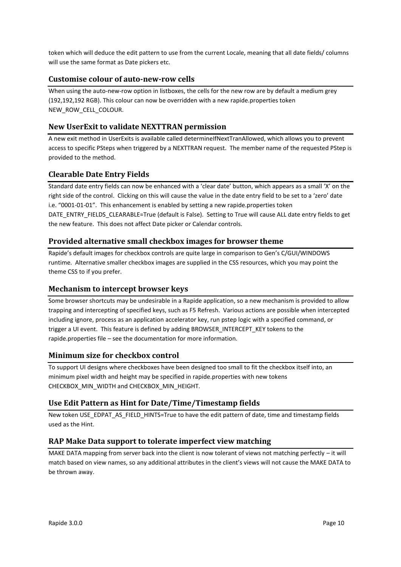token which will deduce the edit pattern to use from the current Locale, meaning that all date fields/ columns will use the same format as Date pickers etc.

## <span id="page-9-0"></span>**Customise colour of auto-new-row cells**

When using the auto-new-row option in listboxes, the cells for the new row are by default a medium grey (192,192,192 RGB). This colour can now be overridden with a new rapide.properties token NEW\_ROW\_CELL\_COLOUR.

## <span id="page-9-1"></span>**New UserExit to validate NEXTTRAN permission**

A new exit method in UserExits is available called determineIfNextTranAllowed, which allows you to prevent access to specific PSteps when triggered by a NEXTTRAN request. The member name of the requested PStep is provided to the method.

## <span id="page-9-2"></span>**Clearable Date Entry Fields**

Standard date entry fields can now be enhanced with a 'clear date' button, which appears as a small 'X' on the right side of the control. Clicking on this will cause the value in the date entry field to be set to a 'zero' date i.e. "0001-01-01". This enhancement is enabled by setting a new rapide.properties token DATE\_ENTRY\_FIELDS\_CLEARABLE=True (default is False). Setting to True will cause ALL date entry fields to get the new feature. This does not affect Date picker or Calendar controls.

## <span id="page-9-3"></span>**Provided alternative small checkbox images for browser theme**

Rapide's default images for checkbox controls are quite large in comparison to Gen's C/GUI/WINDOWS runtime. Alternative smaller checkbox images are supplied in the CSS resources, which you may point the theme CSS to if you prefer.

## <span id="page-9-4"></span>**Mechanism to intercept browser keys**

Some browser shortcuts may be undesirable in a Rapide application, so a new mechanism is provided to allow trapping and intercepting of specified keys, such as F5 Refresh. Various actions are possible when intercepted including ignore, process as an application accelerator key, run pstep logic with a specified command, or trigger a UI event. This feature is defined by adding BROWSER\_INTERCEPT\_KEY tokens to the rapide.properties file – see the documentation for more information.

## <span id="page-9-5"></span>**Minimum size for checkbox control**

To support UI designs where checkboxes have been designed too small to fit the checkbox itself into, an minimum pixel width and height may be specified in rapide.properties with new tokens CHECKBOX\_MIN\_WIDTH and CHECKBOX\_MIN\_HEIGHT.

## <span id="page-9-6"></span>**Use Edit Pattern as Hint for Date/Time/Timestamp fields**

New token USE\_EDPAT\_AS\_FIELD\_HINTS=True to have the edit pattern of date, time and timestamp fields used as the Hint.

## <span id="page-9-7"></span>**RAP Make Data support to tolerate imperfect view matching**

MAKE DATA mapping from server back into the client is now tolerant of views not matching perfectly – it will match based on view names, so any additional attributes in the client's views will not cause the MAKE DATA to be thrown away.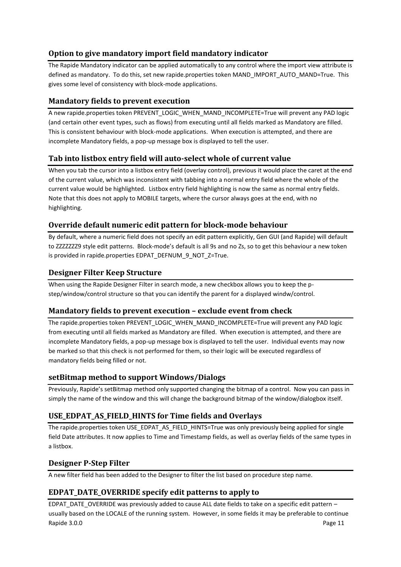## <span id="page-10-0"></span>**Option to give mandatory import field mandatory indicator**

The Rapide Mandatory indicator can be applied automatically to any control where the import view attribute is defined as mandatory. To do this, set new rapide.properties token MAND\_IMPORT\_AUTO\_MAND=True. This gives some level of consistency with block-mode applications.

## <span id="page-10-1"></span>**Mandatory fields to prevent execution**

A new rapide.properties token PREVENT\_LOGIC\_WHEN\_MAND\_INCOMPLETE=True will prevent any PAD logic (and certain other event types, such as flows) from executing until all fields marked as Mandatory are filled. This is consistent behaviour with block-mode applications. When execution is attempted, and there are incomplete Mandatory fields, a pop-up message box is displayed to tell the user.

## <span id="page-10-2"></span>**Tab into listbox entry field will auto-select whole of current value**

When you tab the cursor into a listbox entry field (overlay control), previous it would place the caret at the end of the current value, which was inconsistent with tabbing into a normal entry field where the whole of the current value would be highlighted. Listbox entry field highlighting is now the same as normal entry fields. Note that this does not apply to MOBILE targets, where the cursor always goes at the end, with no highlighting.

## <span id="page-10-3"></span>**Override default numeric edit pattern for block-mode behaviour**

By default, where a numeric field does not specify an edit pattern explicitly, Gen GUI (and Rapide) will default to ZZZZZZZ9 style edit patterns. Block-mode's default is all 9s and no Zs, so to get this behaviour a new token is provided in rapide.properties EDPAT\_DEFNUM\_9\_NOT\_Z=True.

## <span id="page-10-4"></span>**Designer Filter Keep Structure**

When using the Rapide Designer Filter in search mode, a new checkbox allows you to keep the pstep/window/control structure so that you can identify the parent for a displayed windw/control.

## <span id="page-10-5"></span>**Mandatory fields to prevent execution – exclude event from check**

The rapide.properties token PREVENT\_LOGIC\_WHEN\_MAND\_INCOMPLETE=True will prevent any PAD logic from executing until all fields marked as Mandatory are filled. When execution is attempted, and there are incomplete Mandatory fields, a pop-up message box is displayed to tell the user. Individual events may now be marked so that this check is not performed for them, so their logic will be executed regardless of mandatory fields being filled or not.

## <span id="page-10-6"></span>**setBitmap method to support Windows/Dialogs**

Previously, Rapide's setBitmap method only supported changing the bitmap of a control. Now you can pass in simply the name of the window and this will change the background bitmap of the window/dialogbox itself.

## <span id="page-10-7"></span>**USE\_EDPAT\_AS\_FIELD\_HINTS for Time fields and Overlays**

The rapide.properties token USE\_EDPAT\_AS\_FIELD\_HINTS=True was only previously being applied for single field Date attributes. It now applies to Time and Timestamp fields, as well as overlay fields of the same types in a listbox.

## <span id="page-10-8"></span>**Designer P-Step Filter**

A new filter field has been added to the Designer to filter the list based on procedure step name.

## <span id="page-10-9"></span>**EDPAT\_DATE\_OVERRIDE specify edit patterns to apply to**

Rapide 3.0.0 Page 11 EDPAT\_DATE\_OVERRIDE was previously added to cause ALL date fields to take on a specific edit pattern – usually based on the LOCALE of the running system. However, in some fields it may be preferable to continue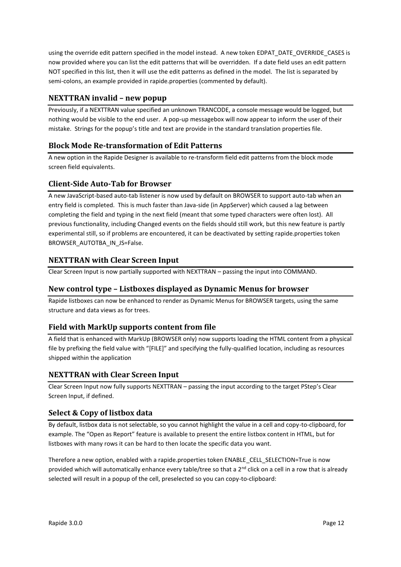using the override edit pattern specified in the model instead. A new token EDPAT\_DATE\_OVERRIDE\_CASES is now provided where you can list the edit patterns that will be overridden. If a date field uses an edit pattern NOT specified in this list, then it will use the edit patterns as defined in the model. The list is separated by semi-colons, an example provided in rapide.properties (commented by default).

## <span id="page-11-0"></span>**NEXTTRAN invalid – new popup**

Previously, if a NEXTTRAN value specified an unknown TRANCODE, a console message would be logged, but nothing would be visible to the end user. A pop-up messagebox will now appear to inform the user of their mistake. Strings for the popup's title and text are provide in the standard translation properties file.

## <span id="page-11-1"></span>**Block Mode Re-transformation of Edit Patterns**

A new option in the Rapide Designer is available to re-transform field edit patterns from the block mode screen field equivalents.

## <span id="page-11-2"></span>**Client-Side Auto-Tab for Browser**

A new JavaScript-based auto-tab listener is now used by default on BROWSER to support auto-tab when an entry field is completed. This is much faster than Java-side (in AppServer) which caused a lag between completing the field and typing in the next field (meant that some typed characters were often lost). All previous functionality, including Changed events on the fields should still work, but this new feature is partly experimental still, so if problems are encountered, it can be deactivated by setting rapide.properties token BROWSER\_AUTOTBA\_IN\_JS=False.

## <span id="page-11-3"></span>**NEXTTRAN with Clear Screen Input**

Clear Screen Input is now partially supported with NEXTTRAN – passing the input into COMMAND.

## <span id="page-11-4"></span>**New control type – Listboxes displayed as Dynamic Menus for browser**

Rapide listboxes can now be enhanced to render as Dynamic Menus for BROWSER targets, using the same structure and data views as for trees.

## <span id="page-11-5"></span>**Field with MarkUp supports content from file**

A field that is enhanced with MarkUp (BROWSER only) now supports loading the HTML content from a physical file by prefixing the field value with "[FILE]" and specifying the fully-qualified location, including as resources shipped within the application

## <span id="page-11-6"></span>**NEXTTRAN with Clear Screen Input**

Clear Screen Input now fully supports NEXTTRAN – passing the input according to the target PStep's Clear Screen Input, if defined.

## <span id="page-11-7"></span>**Select & Copy of listbox data**

By default, listbox data is not selectable, so you cannot highlight the value in a cell and copy-to-clipboard, for example. The "Open as Report" feature is available to present the entire listbox content in HTML, but for listboxes with many rows it can be hard to then locate the specific data you want.

Therefore a new option, enabled with a rapide.properties token ENABLE\_CELL\_SELECTION=True is now provided which will automatically enhance every table/tree so that a  $2^{nd}$  click on a cell in a row that is already selected will result in a popup of the cell, preselected so you can copy-to-clipboard: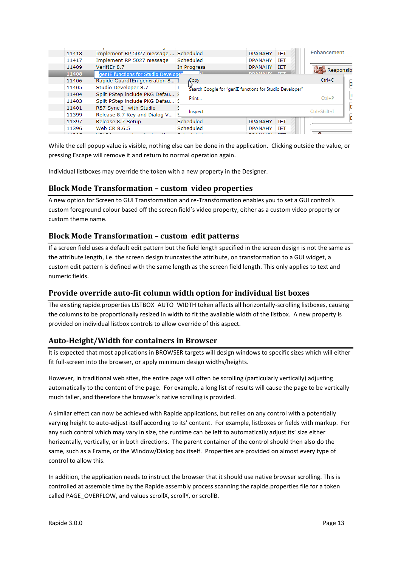| 11418 | Implement RP 5027 message            | Scheduled                                                        | <b>TET</b><br><b>DPANAHY</b> | Enhancement             |
|-------|--------------------------------------|------------------------------------------------------------------|------------------------------|-------------------------|
| 11417 | Implement RP 5027 message            | Scheduled                                                        | <b>TFT</b><br><b>DPANAHY</b> |                         |
| 11409 | VerifIEr 8.7                         | In Progress                                                      | <b>DPANAHY</b><br><b>IET</b> | <b>Co</b> Responsibi    |
| 11408 | genIE functions for Studio Developer |                                                                  | <b>DDAMAIN</b>               |                         |
| 11406 | Rapide GuardIEn generation 8         | Copy                                                             |                              | $Ctrl + C$<br>П         |
| 11405 | Studio Developer 8.7                 | ట్ట్<br>Search Google for "genIE functions for Studio Developer" |                              |                         |
| 11404 | Split PStep include PKG Defau        |                                                                  |                              | I                       |
| 11403 | Split PStep include PKG Defau        | Print                                                            |                              | $Ctrl + P$              |
| 11401 | R87 Sync I with Studio               |                                                                  |                              | b<br>$Ctrl + Shift + I$ |
| 11399 | Release 8.7 Key and Dialog V         | Inspect                                                          |                              |                         |
| 11397 | Release 8.7 Setup                    | Scheduled                                                        | <b>IET</b><br><b>DPANAHY</b> |                         |
| 11396 | Web CR 8.6.5                         | Scheduled                                                        | <b>IET</b><br><b>DPANAHY</b> |                         |
|       |                                      |                                                                  |                              |                         |

While the cell popup value is visible, nothing else can be done in the application. Clicking outside the value, or pressing Escape will remove it and return to normal operation again.

Individual listboxes may override the token with a new property in the Designer.

#### <span id="page-12-0"></span>**Block Mode Transformation – custom video properties**

A new option for Screen to GUI Transformation and re-Transformation enables you to set a GUI control's custom foreground colour based off the screen field's video property, either as a custom video property or custom theme name.

#### <span id="page-12-1"></span>**Block Mode Transformation – custom edit patterns**

If a screen field uses a default edit pattern but the field length specified in the screen design is not the same as the attribute length, i.e. the screen design truncates the attribute, on transformation to a GUI widget, a custom edit pattern is defined with the same length as the screen field length. This only applies to text and numeric fields.

#### <span id="page-12-2"></span>**Provide override auto-fit column width option for individual list boxes**

The existing rapide.properties LISTBOX\_AUTO\_WIDTH token affects all horizontally-scrolling listboxes, causing the columns to be proportionally resized in width to fit the available width of the listbox. A new property is provided on individual listbox controls to allow override of this aspect.

#### <span id="page-12-3"></span>**Auto-Height/Width for containers in Browser**

It is expected that most applications in BROWSER targets will design windows to specific sizes which will either fit full-screen into the browser, or apply minimum design widths/heights.

However, in traditional web sites, the entire page will often be scrolling (particularly vertically) adjusting automatically to the content of the page. For example, a long list of results will cause the page to be vertically much taller, and therefore the browser's native scrolling is provided.

A similar effect can now be achieved with Rapide applications, but relies on any control with a potentially varying height to auto-adjust itself according to its' content. For example, listboxes or fields with markup. For any such control which may vary in size, the runtime can be left to automatically adjust its' size either horizontally, vertically, or in both directions. The parent container of the control should then also do the same, such as a Frame, or the Window/Dialog box itself. Properties are provided on almost every type of control to allow this.

In addition, the application needs to instruct the browser that it should use native browser scrolling. This is controlled at assemble time by the Rapide assembly process scanning the rapide.properties file for a token called PAGE\_OVERFLOW, and values scrollX, scrollY, or scrollB.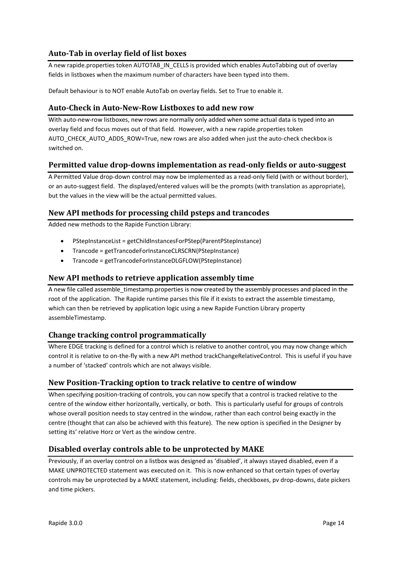## <span id="page-13-0"></span>**Auto-Tab in overlay field of list boxes**

A new rapide.properties token AUTOTAB\_IN\_CELLS is provided which enables AutoTabbing out of overlay fields in listboxes when the maximum number of characters have been typed into them.

Default behaviour is to NOT enable AutoTab on overlay fields. Set to True to enable it.

## <span id="page-13-1"></span>**Auto-Check in Auto-New-Row Listboxes to add new row**

With auto-new-row listboxes, new rows are normally only added when some actual data is typed into an overlay field and focus moves out of that field. However, with a new rapide.properties token AUTO\_CHECK\_AUTO\_ADDS\_ROW=True, new rows are also added when just the auto-check checkbox is switched on.

## <span id="page-13-2"></span>**Permitted value drop-downs implementation as read-only fields or auto-suggest**

A Permitted Value drop-down control may now be implemented as a read-only field (with or without border), or an auto-suggest field. The displayed/entered values will be the prompts (with translation as appropriate), but the values in the view will be the actual permitted values.

#### <span id="page-13-3"></span>**New API methods for processing child psteps and trancodes**

Added new methods to the Rapide Function Library:

- PStepInstanceList = getChildInstancesForPStep(ParentPStepInstance)
- Trancode = getTrancodeForInstanceCLRSCRN(PStepInstance)
- Trancode = getTrancodeForInstanceDLGFLOW(PStepInstance)

#### <span id="page-13-4"></span>**New API methods to retrieve application assembly time**

A new file called assemble\_timestamp.properties is now created by the assembly processes and placed in the root of the application. The Rapide runtime parses this file if it exists to extract the assemble timestamp, which can then be retrieved by application logic using a new Rapide Function Library property assembleTimestamp.

#### <span id="page-13-5"></span>**Change tracking control programmatically**

Where EDGE tracking is defined for a control which is relative to another control, you may now change which control it is relative to on-the-fly with a new API method trackChangeRelativeControl. This is useful if you have a number of 'stacked' controls which are not always visible.

## <span id="page-13-6"></span>**New Position-Tracking option to track relative to centre of window**

When specifying position-tracking of controls, you can now specify that a control is tracked relative to the centre of the window either horizontally, vertically, or both. This is particularly useful for groups of controls whose overall position needs to stay centred in the window, rather than each control being exactly in the centre (thought that can also be achieved with this feature). The new option is specified in the Designer by setting its' relative Horz or Vert as the window centre.

#### <span id="page-13-7"></span>**Disabled overlay controls able to be unprotected by MAKE**

Previously, if an overlay control on a listbox was designed as 'disabled', it always stayed disabled, even if a MAKE UNPROTECTED statement was executed on it. This is now enhanced so that certain types of overlay controls may be unprotected by a MAKE statement, including: fields, checkboxes, pv drop-downs, date pickers and time pickers.